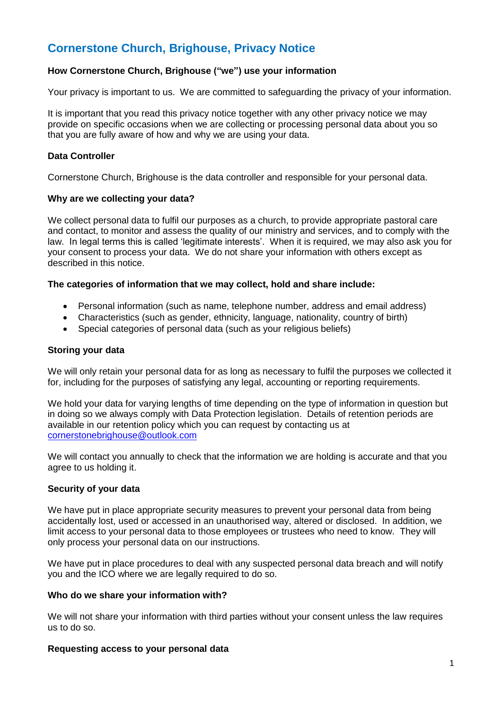# **Cornerstone Church, Brighouse, Privacy Notice**

# **How Cornerstone Church, Brighouse ("we") use your information**

Your privacy is important to us. We are committed to safeguarding the privacy of your information.

It is important that you read this privacy notice together with any other privacy notice we may provide on specific occasions when we are collecting or processing personal data about you so that you are fully aware of how and why we are using your data.

## **Data Controller**

Cornerstone Church, Brighouse is the data controller and responsible for your personal data.

### **Why are we collecting your data?**

We collect personal data to fulfil our purposes as a church, to provide appropriate pastoral care and contact, to monitor and assess the quality of our ministry and services, and to comply with the law. In legal terms this is called 'legitimate interests'. When it is required, we may also ask you for your consent to process your data. We do not share your information with others except as described in this notice.

# **The categories of information that we may collect, hold and share include:**

- Personal information (such as name, telephone number, address and email address)
- Characteristics (such as gender, ethnicity, language, nationality, country of birth)
- Special categories of personal data (such as your religious beliefs)

## **Storing your data**

We will only retain your personal data for as long as necessary to fulfil the purposes we collected it for, including for the purposes of satisfying any legal, accounting or reporting requirements.

We hold your data for varying lengths of time depending on the type of information in question but in doing so we always comply with Data Protection legislation. Details of retention periods are available in our retention policy which you can request by contacting us at [cornerstonebrighouse@outlook.com](mailto:cornerstonebrighouse@outlook.com)

We will contact you annually to check that the information we are holding is accurate and that you agree to us holding it.

### **Security of your data**

We have put in place appropriate security measures to prevent your personal data from being accidentally lost, used or accessed in an unauthorised way, altered or disclosed. In addition, we limit access to your personal data to those employees or trustees who need to know. They will only process your personal data on our instructions.

We have put in place procedures to deal with any suspected personal data breach and will notify you and the ICO where we are legally required to do so.

### **Who do we share your information with?**

We will not share your information with third parties without your consent unless the law requires us to do so.

### **Requesting access to your personal data**